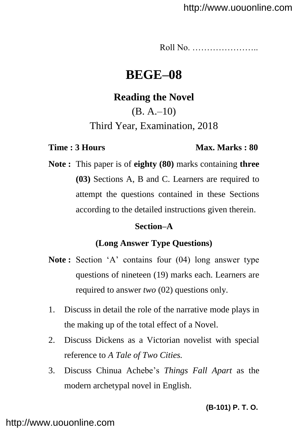Roll No. …………………..

# **BEGE–08**

## **Reading the Novel**

(B. A.–10)

Third Year, Examination, 2018

#### **Time : 3 Hours Max. Marks : 80**

**Note :** This paper is of **eighty (80)** marks containing **three (03)** Sections A, B and C. Learners are required to attempt the questions contained in these Sections according to the detailed instructions given therein.

#### **Section–A**

### **(Long Answer Type Questions)**

- Note: Section 'A' contains four (04) long answer type questions of nineteen (19) marks each. Learners are required to answer *two* (02) questions only.
- 1. Discuss in detail the role of the narrative mode plays in the making up of the total effect of a Novel.
- 2. Discuss Dickens as a Victorian novelist with special reference to *A Tale of Two Cities.*
- 3. Discuss Chinua Achebe"s *Things Fall Apart* as the modern archetypal novel in English.

**(B-101) P. T. O.**

## <http://www.uouonline.com>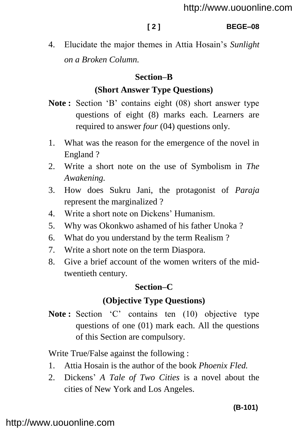#### **[ 2 ] BEGE–08**

4. Elucidate the major themes in Attia Hosain"s *Sunlight on a Broken Column.*

## **Section–B**

## **(Short Answer Type Questions)**

- **Note :** Section "B" contains eight (08) short answer type questions of eight (8) marks each. Learners are required to answer *four* (04) questions only.
- 1. What was the reason for the emergence of the novel in England ?
- 2. Write a short note on the use of Symbolism in *The Awakening.*
- 3. How does Sukru Jani, the protagonist of *Paraja* represent the marginalized ?
- 4. Write a short note on Dickens" Humanism.
- 5. Why was Okonkwo ashamed of his father Unoka ?
- 6. What do you understand by the term Realism ?
- 7. Write a short note on the term Diaspora.
- 8. Give a brief account of the women writers of the midtwentieth century.

## **Section–C**

## **(Objective Type Questions)**

Note: Section 'C' contains ten (10) objective type questions of one (01) mark each. All the questions of this Section are compulsory.

Write True/False against the following :

- 1. Attia Hosain is the author of the book *Phoenix Fled.*
- 2. Dickens" *A Tale of Two Cities* is a novel about the cities of New York and Los Angeles.